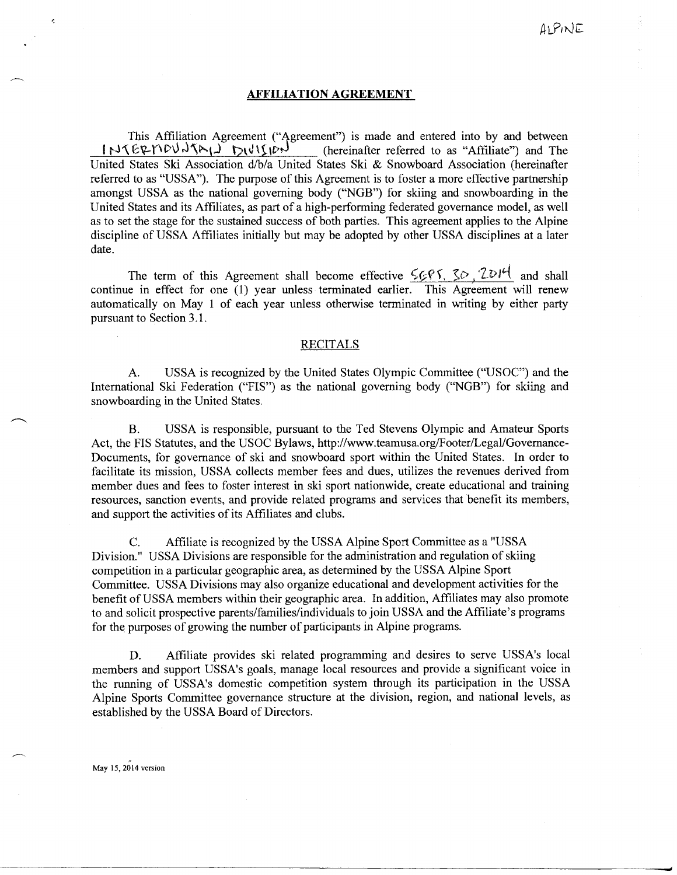#### **AFFILIATION AGREEMENT**

This Affiliation Agreement ("Agreement") is made and entered into by and between  $f \sim \frac{1}{\pi} \int \int \int \int \int \int \int \int \int \int$  (hereinafter referred to as "Affiliate") and The United States Ski Association d/b/a United States Ski & Snowboard Association (hereinafter referred to as "USSA"). The purpose of this Agreement is to foster a more effective partnership amongst USSA as the national governing body ("NGB") for skiing and snowboarding in the United States and its Affiliates, as part of a high-performing federated governance model, as well as to set the stage for the sustained success of both parties. This agreement applies to the Alpine discipline of USSA Affiliates initially but may be adopted by other USSA disciplines at a later date.

The term of this Agreement shall become effective  $\frac{5}{6}$   $\frac{7}{6}$   $\frac{2}{1}$  and shall continue in effect for one (1) year unless terminated earlier. This Agreement will renew automatically on May 1 of each year unless otherwise terminated in writing by either party pursuant to Section 3.1.

#### RECITALS

A. USSA is recognized by the United States Olympic Committee ("USOC") and the International Ski Federation ("FIS") as the national governing body ("NGB") for skiing and snowboarding in the United States.

B. USSA is responsible, pursuant to the Ted Stevens Olympic and Amateur Sports Act, the FIS Statutes, and the USOC Bylaws, http://www.teamusa.org/Footer/Legal/Governance-Documents, for governance of ski and snowboard sport within the United States. In order to facilitate its mission, USSA collects member fees and dues, utilizes the revenues derived from member dues and fees to foster interest in ski sport nationwide, create educational and training resources, sanction events, and provide related programs and services that benefit its members, and support the activities of its Affiliates and clubs.

C. Affiliate is recognized by the USSA Alpine Sport Committee as a "USSA Division." USSA Divisions are responsible for the administration and regulation of skiing competition in a particular geographic area, as determined by the USSA Alpine Sport Committee. USSA Divisions may also organize educational and development activities for the benefit of USSA members within their geographic area. In addition, Affiliates may also promote to and solicit prospective parents/families/individuals to join USSA and the Affiliate's programs for the purposes of growing the number of participants in Alpine programs.

D. Affiliate provides ski related programming and desires to serve USSA's local members and support USSA's goals, manage local resources and provide a significant voice in the running of USSA's domestic competition system through its participation in the USSA Alpine Sports Committee governance structure at the division, region, and national levels, as established by the USSA Board of Directors.

May 15,2014 version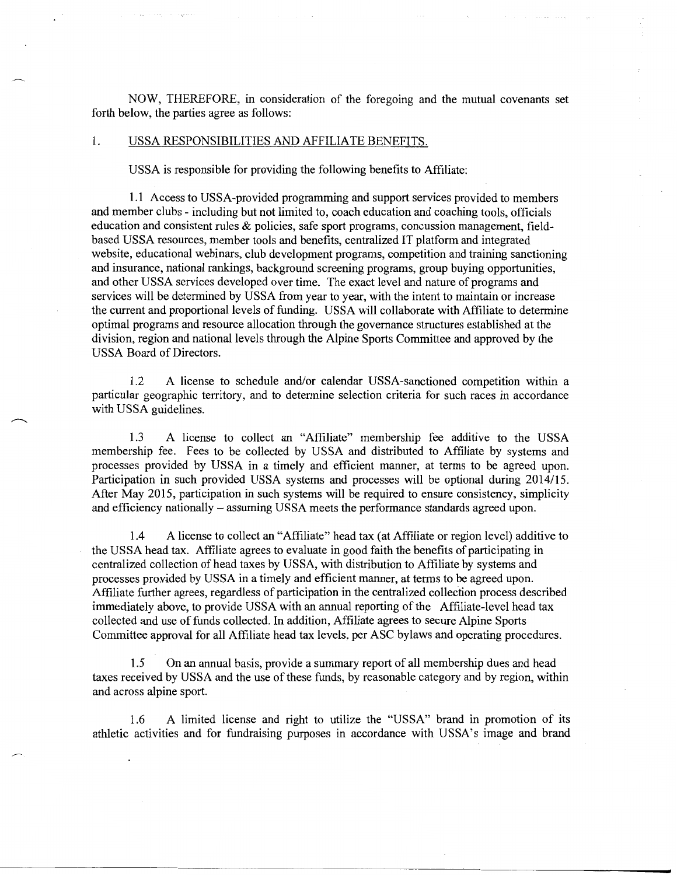NOW, THEREFORE, in consideration of the foregoing and the mutual covenants set forth below, the parties agree as follows:

## 1. USSA RESPONSIBILITIES AND AFFILIATE BENEFITS.

USSA is responsible for providing the following benefits to Affiliate:

1.1 Access to USSA-provided programming and support services provided to members and member clubs - including but not limited to, coach education and coaching tools, officials education and consistent rules & policies, safe sport programs, concussion management, fieldbased USSA resources, member tools and benefits, centralized IT platform and integrated website, educational webinars, club development programs, competition and training sanctioning and insurance, national rankings, background screening programs, group buying opportunities, and other USSA services developed over time. The exact level and nature of programs and services will be determined by USSA from year to year, with the intent to maintain or increase the current and proportional levels of funding. USSA will collaborate with Affiliate to determine optimal programs and resource allocation through the governance structures established at the division, region and national levels through the Alpine Sports Committee and approved by the USSA Board of Directors.

1.2 A license to schedule and/or calendar USSA-sanctioned competition within a particular geographic territory, and to determine selection criteria for such races in accordance with USSA guidelines.

1.3 A license to collect an "Affiliate" membership fee additive to the USSA membership fee. Fees to be collected by USSA and distributed to Affiliate by systems and processes provided by USSA in a timely and efficient manner, at terms to be agreed upon. Participation in such provided USSA systems and processes will be optional during 2014/15. After May 2015, participation in such systems will be required to ensure consistency, simplicity and efficiency nationally – assuming USSA meets the performance standards agreed upon.

1.4 A license to collect an "Affiliate" head tax (at Affiliate or region level) additive to the USSA head tax. Affiliate agrees to evaluate in good faith the benefits of participating in centralized collection of head taxes by USSA, with distribution to Affiliate by systems and processes provided by USSA in a timely and efficient manner, at terms to be agreed upon. Affiliate further agrees, regardless of participation in the centralized collection process described immediately above, to provide USSA with an annual reporting of the Affiliate-level head tax collected and use of funds collected. In addition, Affiliate agrees to secure Alpine Sports Committee approval for all Affiliate head tax levels, per ASC bylaws and operating procedures.

1.5 On an annual basis, provide a summary report of all membership dues and head taxes received by USSA and the use of these funds, by reasonable category and by region, within and across alpine sport.

1.6 A limited license and right to utilize the "USSA" brand in promotion of its athletic activities and for fundraising purposes in accordance with USSA's image and brand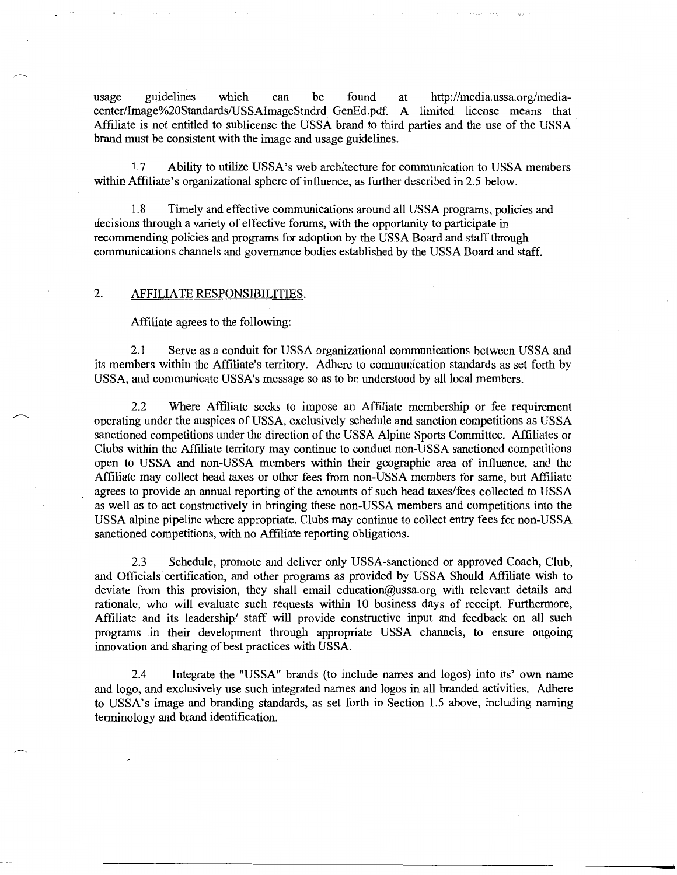usage guidelines which can be found at http://media.ussa.org/mediacenter/Image%20Standards/USSAimageStndrd \_ GenEd. pdf. A limited license means that Affiliate is not entitled to sublicense the USSA brand to third parties and the use of the USSA brand must be consistent with the image and usage guidelines.

1.7 Ability to utilize USSA's web architecture for communication to USSA members within Affiliate's organizational sphere of influence, as further described in 2.5 below.

1.8 Timely and effective communications around all USSA programs, policies and decisions through a variety of effective forums, with the opportunity to participate in recommending policies and programs for adoption by the USSA Board and staff through communications channels and governance bodies established by the USSA Board and staff.

## 2. AFFILIATE RESPONSIBILITIES.

Affiliate agrees to the following:

2.1 Serve as a conduit for USSA organizational communications between USSA and its members within the Affiliate's territory. Adhere to communication standards as set forth by USSA, and communicate USSA's message so as to be understood by all local members.

2.2 Where Affiliate seeks to impose an Affiliate membership or fee requirement operating under the auspices of USSA, exclusively schedule and sanction competitions as USSA sanctioned competitions under the direction of the USSA Alpine Sports Committee. Affiliates or Clubs within the Affiliate territory may continue to conduct non-USSA sanctioned competitions open to USSA and non-USSA members within their geographic area of influence, and the Affiliate may collect head taxes or other fees from non-USSA members for same, but Affiliate agrees to provide an annual reporting of the amounts of such head taxes/fees collected to USSA as well as to act constructively in bringing these non-USSA members and competitions into the USSA alpine pipeline where appropriate. Clubs may continue to collect entry fees for non-USSA sanctioned competitions, with no Affiliate reporting obligations.

2.3 Schedule, promote and deliver only USSA-sanctioned or approved Coach, Club, and Officials certification, and other programs as provided by USSA Should Affiliate wish to deviate from this provision, they shall email education@ussa.org with relevant details and rationale, who will evaluate such requests within 10 business days of receipt. Furthermore, Affiliate and its leadership/ staff will provide constructive input and feedback on all such programs in their development through appropriate USSA channels, to ensure ongoing innovation and sharing of best practices with USSA.

2.4 Integrate the "USSA" brands (to include names and logos) into its' own name and logo, and exclusively use such integrated names and logos in all branded activities. Adhere to USSA's image and branding standards, as set forth in Section 1.5 above, including naming terminology and brand identification.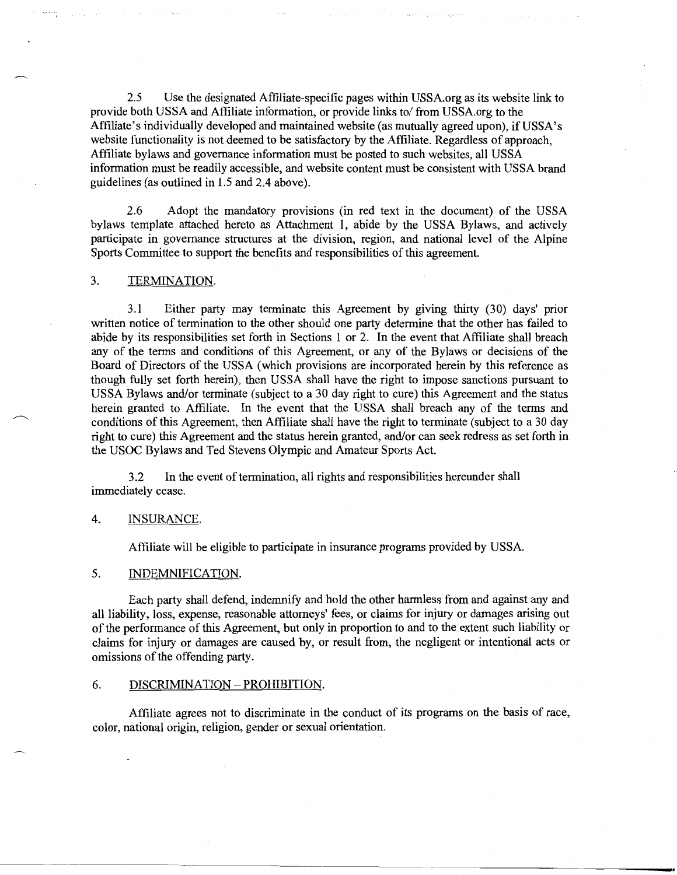2.5 Use the designated Affiliate-specific pages within USSA.org as its website link to provide both USSA and Affiliate information, or provide links to/ from USSA.org to the Affiliate's individually developed and maintained website (as mutually agreed upon), ifUSSA's website functionality is not deemed to be satisfactory by the Affiliate. Regardless of approach, Affiliate bylaws and governance information must be posted to such websites, all USSA information must be readily accessible, and website content must be consistent with USSA brand guidelines (as outlined in 1.5 and 2.4 above).

2.6 Adopt the mandatory provisions (in red text in the document) of the USSA bylaws template attached hereto as Attachment 1, abide by the USSA Bylaws, and actively participate in governance structures at the division, region, and national level of the Alpine Sports Committee to support the benefits and responsibilities of this agreement.

# 3. TERMINATION.

3.1 Either party may terminate this Agreement by giving thirty (30) days' prior written notice of termination to the other should one party determine that the other has failed to abide by its responsibilities set forth in Sections 1 or 2. In the event that Affiliate shall breach any of the terms and conditions of this Agreement, or any of the Bylaws or decisions of the Board of Directors of the USSA (which provisions are incorporated herein by this reference as though fully set forth herein), then USSA shall have the right to impose sanctions pursuant to USSA Bylaws and/or terminate (subject to a 30 day right to cure) this Agreement and the status herein granted to Affiliate. In the event that the USSA shall breach any of the terms and conditions of this Agreement, then Affiliate shall have the right to terminate (subject to a 30 day right to cure) this Agreement and the status herein granted, and/or can seek redress as set forth in the USOC Bylaws and Ted Stevens Olympic and Amateur Sports Act.

3.2 In the event of termination, all rights and responsibilities hereunder shall immediately cease.

## 4. INSURANCE.

Affiliate will be eligible to participate in insurance programs provided by USSA.

## 5. INDEMNIFICATION.

Each party shall defend, indemnify and hold the other harmless from and against any and all liability, loss, expense, reasonable attorneys' fees, or claims for injury or damages arising out of the performance of this Agreement, but only in proportion to and to the extent such liability or claims for injury or damages are caused by, or result from, the negligent or intentional acts or omissions of the offending party.

## 6. DISCRIMINATION- PROHIBITION.

Affiliate agrees not to discriminate in the conduct of its programs on the basis of race, color, national origin, religion, gender or sexual orientation.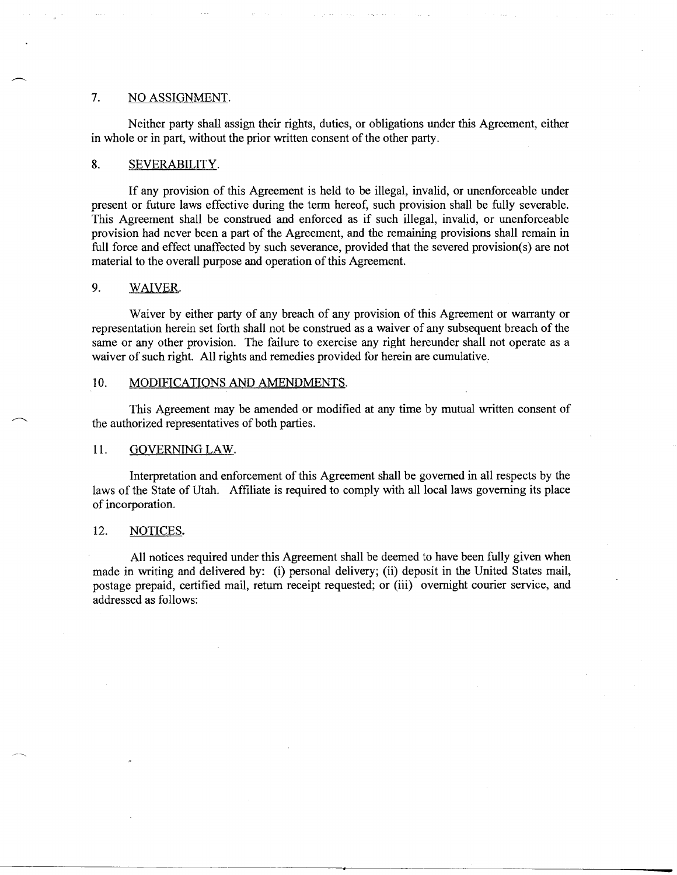# 7. NO ASSIGNMENT.

Neither party shall assign their rights, duties, or obligations under this Agreement, either in whole or in part, without the prior written consent of the other party.

## 8. SEVERABILITY.

If any provision of this Agreement is held to be illegal, invalid, or unenforceable under present or future laws effective during the term hereof, such provision shall be fully severable. This Agreement shall be construed and enforced as if such illegal, invalid, or unenforceable provision had never been a part of the Agreement, and the remaining provisions shall remain in full force and effect unaffected by such severance, provided that the severed provision(s) are not material to the overall purpose and operation of this Agreement.

## 9. WAIVER.

Waiver by either party of any breach of any provision of this Agreement or warranty or representation herein set forth shall not be construed as a waiver of any subsequent breach of the same or any other provision. The failure to exercise any right hereunder shall not operate as a waiver of such right. All rights and remedies provided for herein are cumulative.

## 10. MODIFICATIONS AND AMENDMENTS.

This Agreement may be amended or modified at any time by mutual written consent of the authorized representatives of both parties.

## 11. GOVERNING LAW.

Interpretation and enforcement of this Agreement shall be governed in all respects by the laws of the State of Utah. Affiliate is required to comply with all local laws governing its place of incorporation.

## 12. NOTICES.

All notices required under this Agreement shall be deemed to have been fully given when made in writing and delivered by: (i) personal delivery; (ii) deposit in the United States mail, postage prepaid, certified mail, return receipt requested; or (iii) overnight courier service, and addressed as follows: